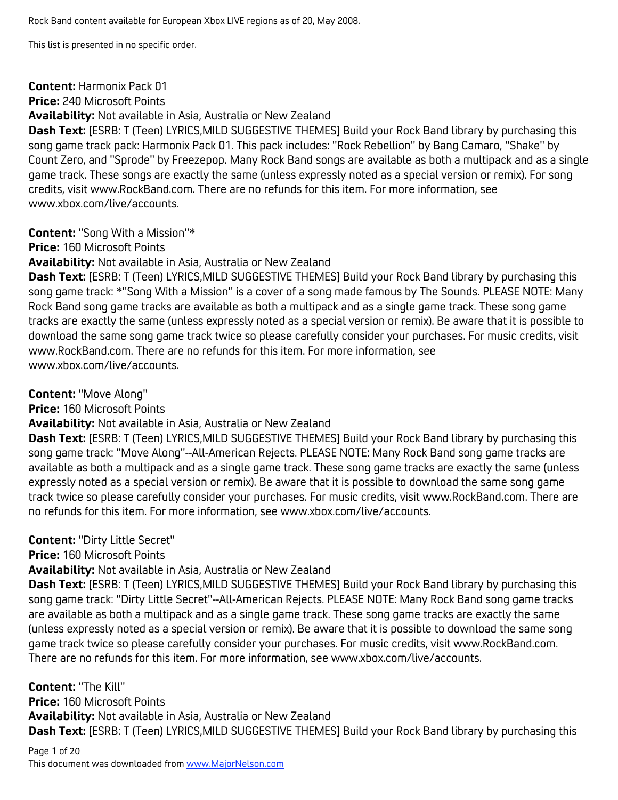#### **Content:** Harmonix Pack 01

**Price:** 240 Microsoft Points

**Availability:** Not available in Asia, Australia or New Zealand

**Dash Text:** [ESRB: T (Teen) LYRICS,MILD SUGGESTIVE THEMES] Build your Rock Band library by purchasing this song game track pack: Harmonix Pack 01. This pack includes: "Rock Rebellion" by Bang Camaro, "Shake" by Count Zero, and "Sprode" by Freezepop. Many Rock Band songs are available as both a multipack and as a single game track. These songs are exactly the same (unless expressly noted as a special version or remix). For song credits, visit www.RockBand.com. There are no refunds for this item. For more information, see www.xbox.com/live/accounts.

**Content:** "Song With a Mission"\*

**Price:** 160 Microsoft Points

**Availability:** Not available in Asia, Australia or New Zealand

**Dash Text:** [ESRB: T (Teen) LYRICS,MILD SUGGESTIVE THEMES] Build your Rock Band library by purchasing this song game track: \*"Song With a Mission" is a cover of a song made famous by The Sounds. PLEASE NOTE: Many Rock Band song game tracks are available as both a multipack and as a single game track. These song game tracks are exactly the same (unless expressly noted as a special version or remix). Be aware that it is possible to download the same song game track twice so please carefully consider your purchases. For music credits, visit www.RockBand.com. There are no refunds for this item. For more information, see www.xbox.com/live/accounts.

**Content:** "Move Along"

**Price:** 160 Microsoft Points

**Availability:** Not available in Asia, Australia or New Zealand

**Dash Text:** [ESRB: T (Teen) LYRICS,MILD SUGGESTIVE THEMES] Build your Rock Band library by purchasing this song game track: "Move Along"--All-American Rejects. PLEASE NOTE: Many Rock Band song game tracks are available as both a multipack and as a single game track. These song game tracks are exactly the same (unless expressly noted as a special version or remix). Be aware that it is possible to download the same song game track twice so please carefully consider your purchases. For music credits, visit www.RockBand.com. There are no refunds for this item. For more information, see www.xbox.com/live/accounts.

**Content:** "Dirty Little Secret"

**Price:** 160 Microsoft Points

**Availability:** Not available in Asia, Australia or New Zealand

**Dash Text:** [ESRB: T (Teen) LYRICS,MILD SUGGESTIVE THEMES] Build your Rock Band library by purchasing this song game track: "Dirty Little Secret"--All-American Rejects. PLEASE NOTE: Many Rock Band song game tracks are available as both a multipack and as a single game track. These song game tracks are exactly the same (unless expressly noted as a special version or remix). Be aware that it is possible to download the same song game track twice so please carefully consider your purchases. For music credits, visit www.RockBand.com. There are no refunds for this item. For more information, see www.xbox.com/live/accounts.

**Content:** "The Kill" **Price:** 160 Microsoft Points **Availability:** Not available in Asia, Australia or New Zealand **Dash Text:** [ESRB: T (Teen) LYRICS,MILD SUGGESTIVE THEMES] Build your Rock Band library by purchasing this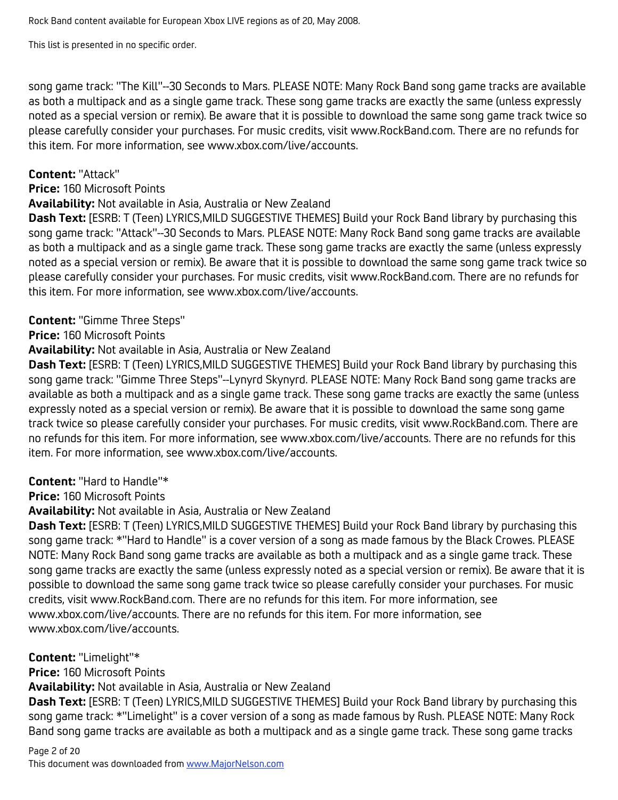This list is presented in no specific order.

song game track: "The Kill"--30 Seconds to Mars. PLEASE NOTE: Many Rock Band song game tracks are available as both a multipack and as a single game track. These song game tracks are exactly the same (unless expressly noted as a special version or remix). Be aware that it is possible to download the same song game track twice so please carefully consider your purchases. For music credits, visit www.RockBand.com. There are no refunds for this item. For more information, see www.xbox.com/live/accounts.

#### **Content:** "Attack"

#### **Price:** 160 Microsoft Points

#### **Availability:** Not available in Asia, Australia or New Zealand

**Dash Text:** [ESRB: T (Teen) LYRICS,MILD SUGGESTIVE THEMES] Build your Rock Band library by purchasing this song game track: "Attack"--30 Seconds to Mars. PLEASE NOTE: Many Rock Band song game tracks are available as both a multipack and as a single game track. These song game tracks are exactly the same (unless expressly noted as a special version or remix). Be aware that it is possible to download the same song game track twice so please carefully consider your purchases. For music credits, visit www.RockBand.com. There are no refunds for this item. For more information, see www.xbox.com/live/accounts.

#### **Content:** "Gimme Three Steps"

**Price:** 160 Microsoft Points

#### **Availability:** Not available in Asia, Australia or New Zealand

**Dash Text:** [ESRB: T (Teen) LYRICS,MILD SUGGESTIVE THEMES] Build your Rock Band library by purchasing this song game track: "Gimme Three Steps"--Lynyrd Skynyrd. PLEASE NOTE: Many Rock Band song game tracks are available as both a multipack and as a single game track. These song game tracks are exactly the same (unless expressly noted as a special version or remix). Be aware that it is possible to download the same song game track twice so please carefully consider your purchases. For music credits, visit www.RockBand.com. There are no refunds for this item. For more information, see www.xbox.com/live/accounts. There are no refunds for this item. For more information, see www.xbox.com/live/accounts.

## **Content:** "Hard to Handle"\*

#### **Price:** 160 Microsoft Points

**Availability:** Not available in Asia, Australia or New Zealand

**Dash Text:** [ESRB: T (Teen) LYRICS,MILD SUGGESTIVE THEMES] Build your Rock Band library by purchasing this song game track: \*"Hard to Handle" is a cover version of a song as made famous by the Black Crowes. PLEASE NOTE: Many Rock Band song game tracks are available as both a multipack and as a single game track. These song game tracks are exactly the same (unless expressly noted as a special version or remix). Be aware that it is possible to download the same song game track twice so please carefully consider your purchases. For music credits, visit www.RockBand.com. There are no refunds for this item. For more information, see www.xbox.com/live/accounts. There are no refunds for this item. For more information, see www.xbox.com/live/accounts.

#### **Content:** "Limelight"\*

**Price:** 160 Microsoft Points

**Availability:** Not available in Asia, Australia or New Zealand

**Dash Text:** [ESRB: T (Teen) LYRICS,MILD SUGGESTIVE THEMES] Build your Rock Band library by purchasing this song game track: \*"Limelight" is a cover version of a song as made famous by Rush. PLEASE NOTE: Many Rock Band song game tracks are available as both a multipack and as a single game track. These song game tracks

## Page 2 of 20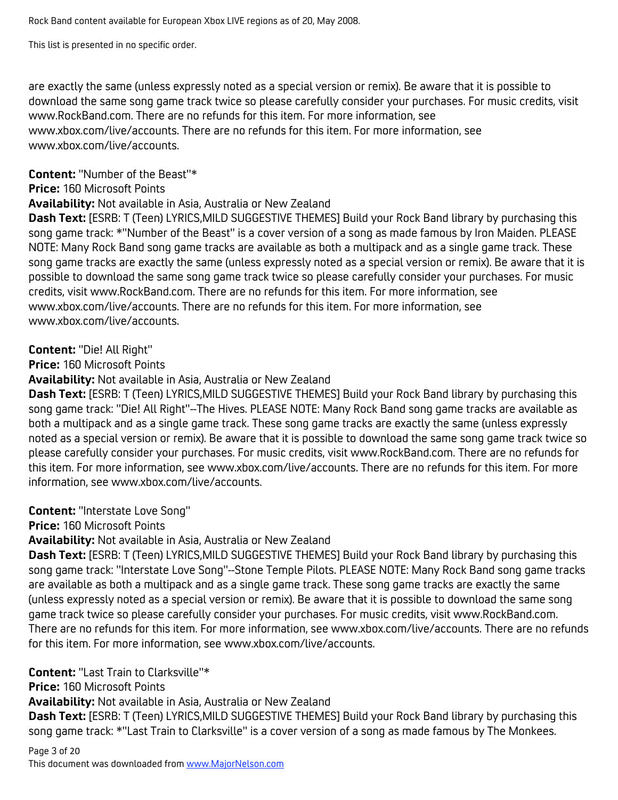This list is presented in no specific order.

are exactly the same (unless expressly noted as a special version or remix). Be aware that it is possible to download the same song game track twice so please carefully consider your purchases. For music credits, visit www.RockBand.com. There are no refunds for this item. For more information, see www.xbox.com/live/accounts. There are no refunds for this item. For more information, see www.xbox.com/live/accounts.

**Content:** "Number of the Beast"\*

**Price:** 160 Microsoft Points

**Availability:** Not available in Asia, Australia or New Zealand

**Dash Text:** [ESRB: T (Teen) LYRICS,MILD SUGGESTIVE THEMES] Build your Rock Band library by purchasing this song game track: \*"Number of the Beast" is a cover version of a song as made famous by Iron Maiden. PLEASE NOTE: Many Rock Band song game tracks are available as both a multipack and as a single game track. These song game tracks are exactly the same (unless expressly noted as a special version or remix). Be aware that it is possible to download the same song game track twice so please carefully consider your purchases. For music credits, visit www.RockBand.com. There are no refunds for this item. For more information, see www.xbox.com/live/accounts. There are no refunds for this item. For more information, see www.xbox.com/live/accounts.

#### **Content:** "Die! All Right"

**Price:** 160 Microsoft Points

**Availability:** Not available in Asia, Australia or New Zealand

**Dash Text:** [ESRB: T (Teen) LYRICS,MILD SUGGESTIVE THEMES] Build your Rock Band library by purchasing this song game track: "Die! All Right"--The Hives. PLEASE NOTE: Many Rock Band song game tracks are available as both a multipack and as a single game track. These song game tracks are exactly the same (unless expressly noted as a special version or remix). Be aware that it is possible to download the same song game track twice so please carefully consider your purchases. For music credits, visit www.RockBand.com. There are no refunds for this item. For more information, see www.xbox.com/live/accounts. There are no refunds for this item. For more information, see www.xbox.com/live/accounts.

**Content:** "Interstate Love Song"

**Price:** 160 Microsoft Points

**Availability:** Not available in Asia, Australia or New Zealand

**Dash Text:** [ESRB: T (Teen) LYRICS,MILD SUGGESTIVE THEMES] Build your Rock Band library by purchasing this song game track: "Interstate Love Song"--Stone Temple Pilots. PLEASE NOTE: Many Rock Band song game tracks are available as both a multipack and as a single game track. These song game tracks are exactly the same (unless expressly noted as a special version or remix). Be aware that it is possible to download the same song game track twice so please carefully consider your purchases. For music credits, visit www.RockBand.com. There are no refunds for this item. For more information, see www.xbox.com/live/accounts. There are no refunds for this item. For more information, see www.xbox.com/live/accounts.

**Content:** "Last Train to Clarksville"\*

**Price:** 160 Microsoft Points

**Availability:** Not available in Asia, Australia or New Zealand

**Dash Text:** [ESRB: T (Teen) LYRICS,MILD SUGGESTIVE THEMES] Build your Rock Band library by purchasing this song game track: \*"Last Train to Clarksville" is a cover version of a song as made famous by The Monkees.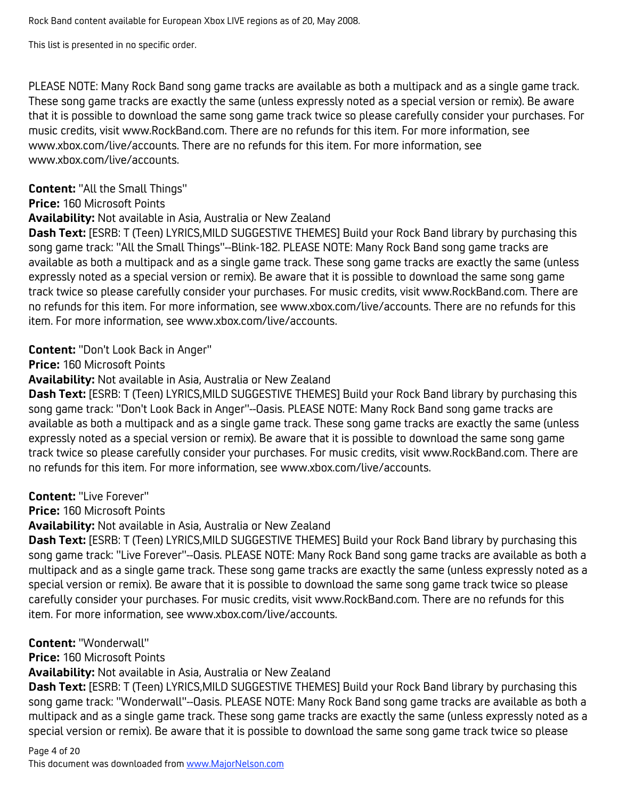This list is presented in no specific order.

PLEASE NOTE: Many Rock Band song game tracks are available as both a multipack and as a single game track. These song game tracks are exactly the same (unless expressly noted as a special version or remix). Be aware that it is possible to download the same song game track twice so please carefully consider your purchases. For music credits, visit www.RockBand.com. There are no refunds for this item. For more information, see www.xbox.com/live/accounts. There are no refunds for this item. For more information, see www.xbox.com/live/accounts.

**Content:** "All the Small Things"

**Price:** 160 Microsoft Points

**Availability:** Not available in Asia, Australia or New Zealand

**Dash Text:** [ESRB: T (Teen) LYRICS,MILD SUGGESTIVE THEMES] Build your Rock Band library by purchasing this song game track: "All the Small Things"--Blink-182. PLEASE NOTE: Many Rock Band song game tracks are available as both a multipack and as a single game track. These song game tracks are exactly the same (unless expressly noted as a special version or remix). Be aware that it is possible to download the same song game track twice so please carefully consider your purchases. For music credits, visit www.RockBand.com. There are no refunds for this item. For more information, see www.xbox.com/live/accounts. There are no refunds for this item. For more information, see www.xbox.com/live/accounts.

# **Content:** "Don't Look Back in Anger"

**Price:** 160 Microsoft Points

**Availability:** Not available in Asia, Australia or New Zealand

**Dash Text:** [ESRB: T (Teen) LYRICS,MILD SUGGESTIVE THEMES] Build your Rock Band library by purchasing this song game track: "Don't Look Back in Anger"--Oasis. PLEASE NOTE: Many Rock Band song game tracks are available as both a multipack and as a single game track. These song game tracks are exactly the same (unless expressly noted as a special version or remix). Be aware that it is possible to download the same song game track twice so please carefully consider your purchases. For music credits, visit www.RockBand.com. There are no refunds for this item. For more information, see www.xbox.com/live/accounts.

**Content:** "Live Forever"

**Price:** 160 Microsoft Points

**Availability:** Not available in Asia, Australia or New Zealand

**Dash Text:** [ESRB: T (Teen) LYRICS,MILD SUGGESTIVE THEMES] Build your Rock Band library by purchasing this song game track: "Live Forever"--Oasis. PLEASE NOTE: Many Rock Band song game tracks are available as both a multipack and as a single game track. These song game tracks are exactly the same (unless expressly noted as a special version or remix). Be aware that it is possible to download the same song game track twice so please carefully consider your purchases. For music credits, visit www.RockBand.com. There are no refunds for this item. For more information, see www.xbox.com/live/accounts.

**Content:** "Wonderwall"

**Price:** 160 Microsoft Points

**Availability:** Not available in Asia, Australia or New Zealand

**Dash Text:** [ESRB: T (Teen) LYRICS,MILD SUGGESTIVE THEMES] Build your Rock Band library by purchasing this song game track: "Wonderwall"--Oasis. PLEASE NOTE: Many Rock Band song game tracks are available as both a multipack and as a single game track. These song game tracks are exactly the same (unless expressly noted as a special version or remix). Be aware that it is possible to download the same song game track twice so please

# Page 4 of 20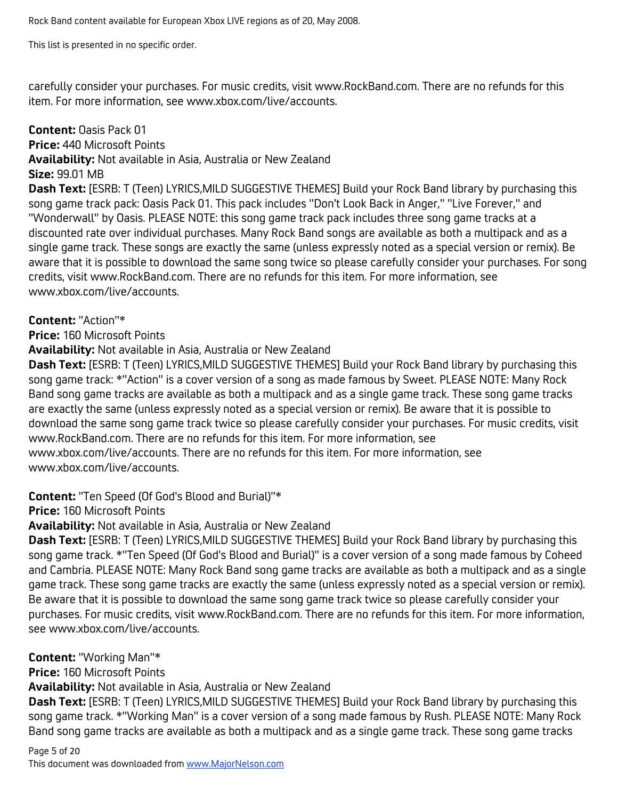This list is presented in no specific order.

carefully consider your purchases. For music credits, visit www.RockBand.com. There are no refunds for this item. For more information, see www.xbox.com/live/accounts.

**Content:** Oasis Pack 01 **Price:** 440 Microsoft Points **Availability:** Not available in Asia, Australia or New Zealand **Size:** 99.01 MB **Dash Text:** [ESRB: T (Teen) LYRICS,MILD SUGGESTIVE THEMES] Build your Rock Band library by purchasing this song game track pack: Oasis Pack 01. This pack includes "Don't Look Back in Anger," "Live Forever," and

"Wonderwall" by Oasis. PLEASE NOTE: this song game track pack includes three song game tracks at a discounted rate over individual purchases. Many Rock Band songs are available as both a multipack and as a single game track. These songs are exactly the same (unless expressly noted as a special version or remix). Be aware that it is possible to download the same song twice so please carefully consider your purchases. For song credits, visit www.RockBand.com. There are no refunds for this item. For more information, see www.xbox.com/live/accounts.

#### **Content:** "Action"\*

**Price:** 160 Microsoft Points

**Availability:** Not available in Asia, Australia or New Zealand

**Dash Text:** [ESRB: T (Teen) LYRICS,MILD SUGGESTIVE THEMES] Build your Rock Band library by purchasing this song game track: \*"Action" is a cover version of a song as made famous by Sweet. PLEASE NOTE: Many Rock Band song game tracks are available as both a multipack and as a single game track. These song game tracks are exactly the same (unless expressly noted as a special version or remix). Be aware that it is possible to download the same song game track twice so please carefully consider your purchases. For music credits, visit www.RockBand.com. There are no refunds for this item. For more information, see www.xbox.com/live/accounts. There are no refunds for this item. For more information, see www.xbox.com/live/accounts.

**Content:** "Ten Speed (Of God's Blood and Burial)"\*

**Price:** 160 Microsoft Points

**Availability:** Not available in Asia, Australia or New Zealand

**Dash Text:** [ESRB: T (Teen) LYRICS,MILD SUGGESTIVE THEMES] Build your Rock Band library by purchasing this song game track. \*"Ten Speed (Of God's Blood and Burial)" is a cover version of a song made famous by Coheed and Cambria. PLEASE NOTE: Many Rock Band song game tracks are available as both a multipack and as a single game track. These song game tracks are exactly the same (unless expressly noted as a special version or remix). Be aware that it is possible to download the same song game track twice so please carefully consider your purchases. For music credits, visit www.RockBand.com. There are no refunds for this item. For more information, see www.xbox.com/live/accounts.

**Content:** "Working Man"\*

**Price:** 160 Microsoft Points

**Availability:** Not available in Asia, Australia or New Zealand

**Dash Text:** [ESRB: T (Teen) LYRICS,MILD SUGGESTIVE THEMES] Build your Rock Band library by purchasing this song game track. \*"Working Man" is a cover version of a song made famous by Rush. PLEASE NOTE: Many Rock Band song game tracks are available as both a multipack and as a single game track. These song game tracks

Page 5 of 20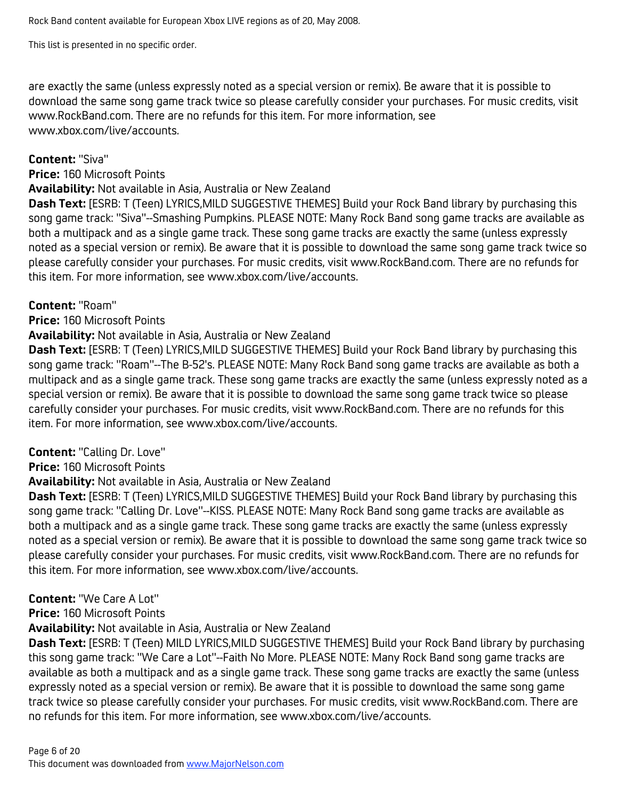This list is presented in no specific order.

are exactly the same (unless expressly noted as a special version or remix). Be aware that it is possible to download the same song game track twice so please carefully consider your purchases. For music credits, visit www.RockBand.com. There are no refunds for this item. For more information, see www.xbox.com/live/accounts.

#### **Content:** "Siva"

**Price:** 160 Microsoft Points

#### **Availability:** Not available in Asia, Australia or New Zealand

**Dash Text:** [ESRB: T (Teen) LYRICS,MILD SUGGESTIVE THEMES] Build your Rock Band library by purchasing this song game track: "Siva"--Smashing Pumpkins. PLEASE NOTE: Many Rock Band song game tracks are available as both a multipack and as a single game track. These song game tracks are exactly the same (unless expressly noted as a special version or remix). Be aware that it is possible to download the same song game track twice so please carefully consider your purchases. For music credits, visit www.RockBand.com. There are no refunds for this item. For more information, see www.xbox.com/live/accounts.

#### **Content:** "Roam"

**Price:** 160 Microsoft Points

#### **Availability:** Not available in Asia, Australia or New Zealand

**Dash Text:** [ESRB: T (Teen) LYRICS,MILD SUGGESTIVE THEMES] Build your Rock Band library by purchasing this song game track: "Roam"--The B-52's. PLEASE NOTE: Many Rock Band song game tracks are available as both a multipack and as a single game track. These song game tracks are exactly the same (unless expressly noted as a special version or remix). Be aware that it is possible to download the same song game track twice so please carefully consider your purchases. For music credits, visit www.RockBand.com. There are no refunds for this item. For more information, see www.xbox.com/live/accounts.

## **Content:** "Calling Dr. Love"

**Price:** 160 Microsoft Points

#### **Availability:** Not available in Asia, Australia or New Zealand

**Dash Text:** [ESRB: T (Teen) LYRICS,MILD SUGGESTIVE THEMES] Build your Rock Band library by purchasing this song game track: "Calling Dr. Love"--KISS. PLEASE NOTE: Many Rock Band song game tracks are available as both a multipack and as a single game track. These song game tracks are exactly the same (unless expressly noted as a special version or remix). Be aware that it is possible to download the same song game track twice so please carefully consider your purchases. For music credits, visit www.RockBand.com. There are no refunds for this item. For more information, see www.xbox.com/live/accounts.

#### **Content:** "We Care A Lot"

**Price:** 160 Microsoft Points

#### **Availability:** Not available in Asia, Australia or New Zealand

**Dash Text:** [ESRB: T (Teen) MILD LYRICS,MILD SUGGESTIVE THEMES] Build your Rock Band library by purchasing this song game track: "We Care a Lot"--Faith No More. PLEASE NOTE: Many Rock Band song game tracks are available as both a multipack and as a single game track. These song game tracks are exactly the same (unless expressly noted as a special version or remix). Be aware that it is possible to download the same song game track twice so please carefully consider your purchases. For music credits, visit www.RockBand.com. There are no refunds for this item. For more information, see www.xbox.com/live/accounts.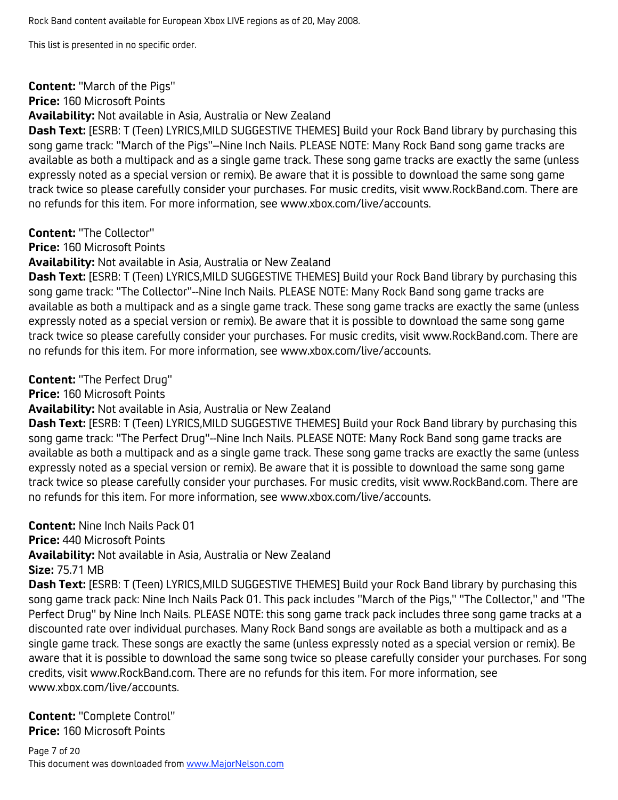#### **Content:** "March of the Pigs"

**Price:** 160 Microsoft Points

**Availability:** Not available in Asia, Australia or New Zealand

**Dash Text:** [ESRB: T (Teen) LYRICS,MILD SUGGESTIVE THEMES] Build your Rock Band library by purchasing this song game track: "March of the Pigs"--Nine Inch Nails. PLEASE NOTE: Many Rock Band song game tracks are available as both a multipack and as a single game track. These song game tracks are exactly the same (unless expressly noted as a special version or remix). Be aware that it is possible to download the same song game track twice so please carefully consider your purchases. For music credits, visit www.RockBand.com. There are no refunds for this item. For more information, see www.xbox.com/live/accounts.

#### **Content:** "The Collector"

**Price:** 160 Microsoft Points

**Availability:** Not available in Asia, Australia or New Zealand

**Dash Text:** [ESRB: T (Teen) LYRICS,MILD SUGGESTIVE THEMES] Build your Rock Band library by purchasing this song game track: "The Collector"--Nine Inch Nails. PLEASE NOTE: Many Rock Band song game tracks are available as both a multipack and as a single game track. These song game tracks are exactly the same (unless expressly noted as a special version or remix). Be aware that it is possible to download the same song game track twice so please carefully consider your purchases. For music credits, visit www.RockBand.com. There are no refunds for this item. For more information, see www.xbox.com/live/accounts.

**Content:** "The Perfect Drug"

**Price:** 160 Microsoft Points

**Availability:** Not available in Asia, Australia or New Zealand

**Dash Text:** [ESRB: T (Teen) LYRICS,MILD SUGGESTIVE THEMES] Build your Rock Band library by purchasing this song game track: "The Perfect Drug"--Nine Inch Nails. PLEASE NOTE: Many Rock Band song game tracks are available as both a multipack and as a single game track. These song game tracks are exactly the same (unless expressly noted as a special version or remix). Be aware that it is possible to download the same song game track twice so please carefully consider your purchases. For music credits, visit www.RockBand.com. There are no refunds for this item. For more information, see www.xbox.com/live/accounts.

**Content:** Nine Inch Nails Pack 01

**Price:** 440 Microsoft Points

**Availability:** Not available in Asia, Australia or New Zealand

**Size:** 75.71 MB

**Dash Text:** [ESRB: T (Teen) LYRICS,MILD SUGGESTIVE THEMES] Build your Rock Band library by purchasing this song game track pack: Nine Inch Nails Pack 01. This pack includes "March of the Pigs," "The Collector," and "The Perfect Drug" by Nine Inch Nails. PLEASE NOTE: this song game track pack includes three song game tracks at a discounted rate over individual purchases. Many Rock Band songs are available as both a multipack and as a single game track. These songs are exactly the same (unless expressly noted as a special version or remix). Be aware that it is possible to download the same song twice so please carefully consider your purchases. For song credits, visit www.RockBand.com. There are no refunds for this item. For more information, see www.xbox.com/live/accounts.

**Content:** "Complete Control" **Price:** 160 Microsoft Points

Page 7 of 20 This document was downloaded from www.MajorNelson.com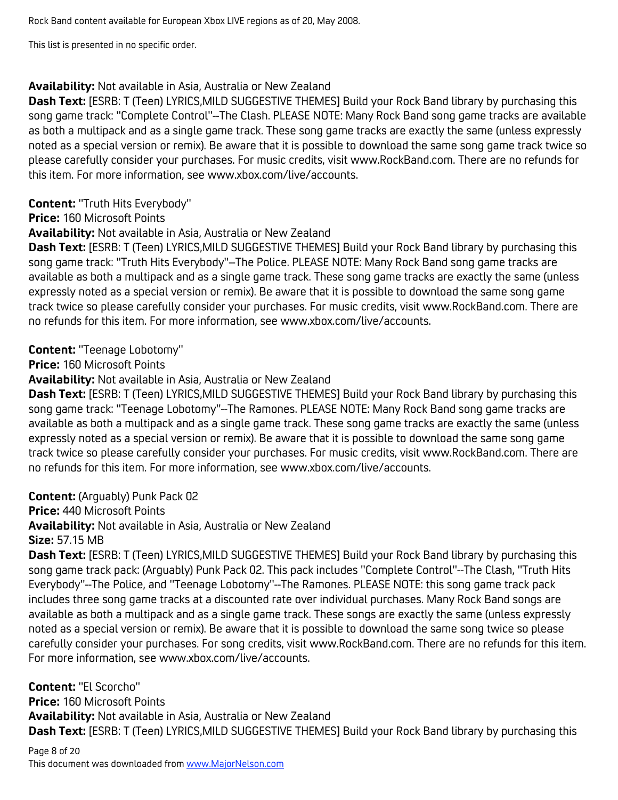This list is presented in no specific order.

#### **Availability:** Not available in Asia, Australia or New Zealand

**Dash Text:** [ESRB: T (Teen) LYRICS,MILD SUGGESTIVE THEMES] Build your Rock Band library by purchasing this song game track: "Complete Control"--The Clash. PLEASE NOTE: Many Rock Band song game tracks are available as both a multipack and as a single game track. These song game tracks are exactly the same (unless expressly noted as a special version or remix). Be aware that it is possible to download the same song game track twice so please carefully consider your purchases. For music credits, visit www.RockBand.com. There are no refunds for this item. For more information, see www.xbox.com/live/accounts.

**Content:** "Truth Hits Everybody"

**Price:** 160 Microsoft Points

**Availability:** Not available in Asia, Australia or New Zealand

**Dash Text:** [ESRB: T (Teen) LYRICS,MILD SUGGESTIVE THEMES] Build your Rock Band library by purchasing this song game track: "Truth Hits Everybody"--The Police. PLEASE NOTE: Many Rock Band song game tracks are available as both a multipack and as a single game track. These song game tracks are exactly the same (unless expressly noted as a special version or remix). Be aware that it is possible to download the same song game track twice so please carefully consider your purchases. For music credits, visit www.RockBand.com. There are no refunds for this item. For more information, see www.xbox.com/live/accounts.

#### **Content:** "Teenage Lobotomy"

**Price:** 160 Microsoft Points

**Availability:** Not available in Asia, Australia or New Zealand

**Dash Text:** [ESRB: T (Teen) LYRICS,MILD SUGGESTIVE THEMES] Build your Rock Band library by purchasing this song game track: "Teenage Lobotomy"--The Ramones. PLEASE NOTE: Many Rock Band song game tracks are available as both a multipack and as a single game track. These song game tracks are exactly the same (unless expressly noted as a special version or remix). Be aware that it is possible to download the same song game track twice so please carefully consider your purchases. For music credits, visit www.RockBand.com. There are no refunds for this item. For more information, see www.xbox.com/live/accounts.

**Content:** (Arguably) Punk Pack 02

**Price:** 440 Microsoft Points

**Availability:** Not available in Asia, Australia or New Zealand

**Size:** 57.15 MB

**Dash Text:** [ESRB: T (Teen) LYRICS,MILD SUGGESTIVE THEMES] Build your Rock Band library by purchasing this song game track pack: (Arguably) Punk Pack 02. This pack includes "Complete Control"--The Clash, "Truth Hits Everybody"--The Police, and "Teenage Lobotomy"--The Ramones. PLEASE NOTE: this song game track pack includes three song game tracks at a discounted rate over individual purchases. Many Rock Band songs are available as both a multipack and as a single game track. These songs are exactly the same (unless expressly noted as a special version or remix). Be aware that it is possible to download the same song twice so please carefully consider your purchases. For song credits, visit www.RockBand.com. There are no refunds for this item. For more information, see www.xbox.com/live/accounts.

**Content:** "El Scorcho" **Price:** 160 Microsoft Points **Availability:** Not available in Asia, Australia or New Zealand **Dash Text:** [ESRB: T (Teen) LYRICS,MILD SUGGESTIVE THEMES] Build your Rock Band library by purchasing this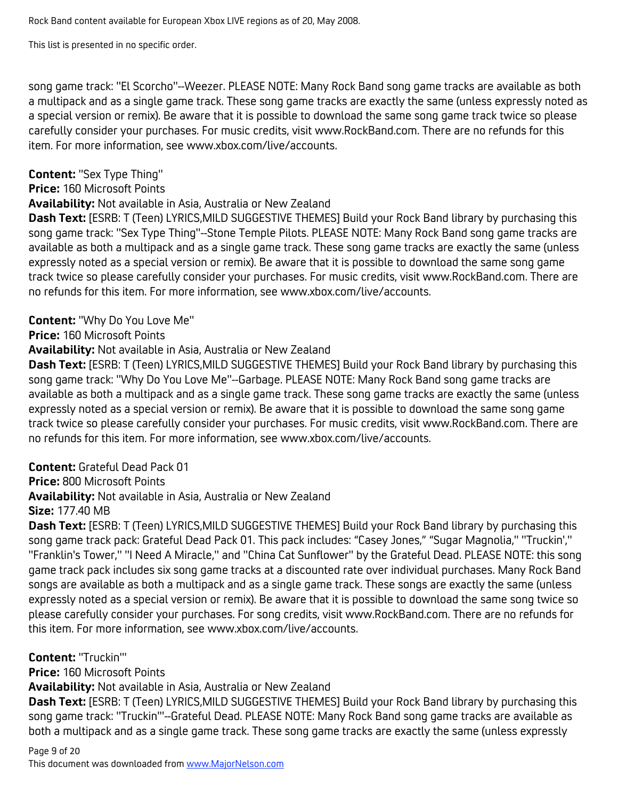This list is presented in no specific order.

song game track: "El Scorcho"--Weezer. PLEASE NOTE: Many Rock Band song game tracks are available as both a multipack and as a single game track. These song game tracks are exactly the same (unless expressly noted as a special version or remix). Be aware that it is possible to download the same song game track twice so please carefully consider your purchases. For music credits, visit www.RockBand.com. There are no refunds for this item. For more information, see www.xbox.com/live/accounts.

## **Content:** "Sex Type Thing"

#### **Price:** 160 Microsoft Points

**Availability:** Not available in Asia, Australia or New Zealand

**Dash Text:** [ESRB: T (Teen) LYRICS,MILD SUGGESTIVE THEMES] Build your Rock Band library by purchasing this song game track: "Sex Type Thing"--Stone Temple Pilots. PLEASE NOTE: Many Rock Band song game tracks are available as both a multipack and as a single game track. These song game tracks are exactly the same (unless expressly noted as a special version or remix). Be aware that it is possible to download the same song game track twice so please carefully consider your purchases. For music credits, visit www.RockBand.com. There are no refunds for this item. For more information, see www.xbox.com/live/accounts.

#### **Content:** "Why Do You Love Me"

**Price:** 160 Microsoft Points

#### **Availability:** Not available in Asia, Australia or New Zealand

**Dash Text:** [ESRB: T (Teen) LYRICS,MILD SUGGESTIVE THEMES] Build your Rock Band library by purchasing this song game track: "Why Do You Love Me"--Garbage. PLEASE NOTE: Many Rock Band song game tracks are available as both a multipack and as a single game track. These song game tracks are exactly the same (unless expressly noted as a special version or remix). Be aware that it is possible to download the same song game track twice so please carefully consider your purchases. For music credits, visit www.RockBand.com. There are no refunds for this item. For more information, see www.xbox.com/live/accounts.

## **Content:** Grateful Dead Pack 01

**Price:** 800 Microsoft Points

**Availability:** Not available in Asia, Australia or New Zealand **Size:** 177.40 MB

**Dash Text:** [ESRB: T (Teen) LYRICS,MILD SUGGESTIVE THEMES] Build your Rock Band library by purchasing this song game track pack: Grateful Dead Pack 01. This pack includes: "Casey Jones," "Sugar Magnolia," "Truckin'," "Franklin's Tower," "I Need A Miracle," and "China Cat Sunflower" by the Grateful Dead. PLEASE NOTE: this song game track pack includes six song game tracks at a discounted rate over individual purchases. Many Rock Band songs are available as both a multipack and as a single game track. These songs are exactly the same (unless expressly noted as a special version or remix). Be aware that it is possible to download the same song twice so please carefully consider your purchases. For song credits, visit www.RockBand.com. There are no refunds for this item. For more information, see www.xbox.com/live/accounts.

**Content:** "Truckin'"

**Price:** 160 Microsoft Points

**Availability:** Not available in Asia, Australia or New Zealand

**Dash Text:** [ESRB: T (Teen) LYRICS,MILD SUGGESTIVE THEMES] Build your Rock Band library by purchasing this song game track: "Truckin'"--Grateful Dead. PLEASE NOTE: Many Rock Band song game tracks are available as both a multipack and as a single game track. These song game tracks are exactly the same (unless expressly

Page 9 of 20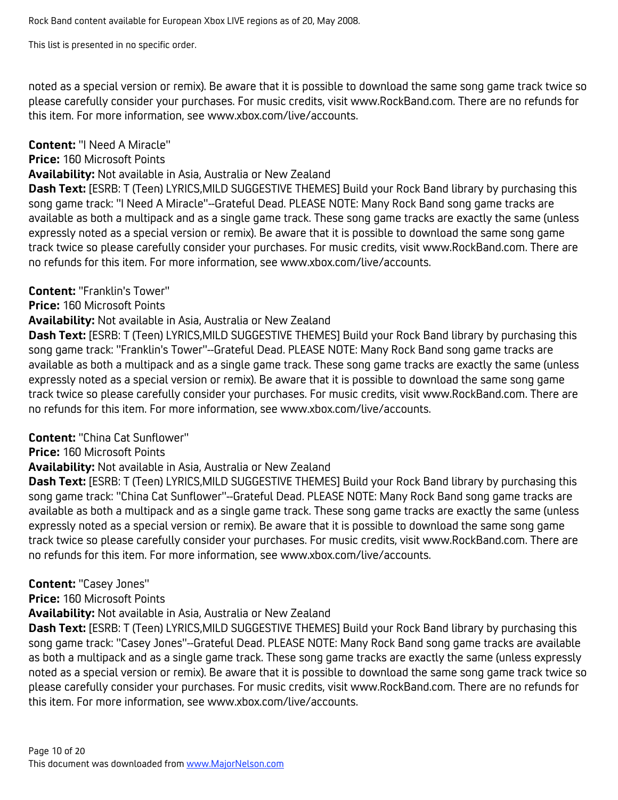noted as a special version or remix). Be aware that it is possible to download the same song game track twice so please carefully consider your purchases. For music credits, visit www.RockBand.com. There are no refunds for this item. For more information, see www.xbox.com/live/accounts.

# **Content:** "I Need A Miracle"

## **Price:** 160 Microsoft Points

### **Availability:** Not available in Asia, Australia or New Zealand

**Dash Text:** [ESRB: T (Teen) LYRICS,MILD SUGGESTIVE THEMES] Build your Rock Band library by purchasing this song game track: "I Need A Miracle"--Grateful Dead. PLEASE NOTE: Many Rock Band song game tracks are available as both a multipack and as a single game track. These song game tracks are exactly the same (unless expressly noted as a special version or remix). Be aware that it is possible to download the same song game track twice so please carefully consider your purchases. For music credits, visit www.RockBand.com. There are no refunds for this item. For more information, see www.xbox.com/live/accounts.

## **Content:** "Franklin's Tower"

## **Price:** 160 Microsoft Points

## **Availability:** Not available in Asia, Australia or New Zealand

**Dash Text:** [ESRB: T (Teen) LYRICS,MILD SUGGESTIVE THEMES] Build your Rock Band library by purchasing this song game track: "Franklin's Tower"--Grateful Dead. PLEASE NOTE: Many Rock Band song game tracks are available as both a multipack and as a single game track. These song game tracks are exactly the same (unless expressly noted as a special version or remix). Be aware that it is possible to download the same song game track twice so please carefully consider your purchases. For music credits, visit www.RockBand.com. There are no refunds for this item. For more information, see www.xbox.com/live/accounts.

## **Content:** "China Cat Sunflower"

## **Price:** 160 Microsoft Points

## **Availability:** Not available in Asia, Australia or New Zealand

**Dash Text:** [ESRB: T (Teen) LYRICS,MILD SUGGESTIVE THEMES] Build your Rock Band library by purchasing this song game track: "China Cat Sunflower"--Grateful Dead. PLEASE NOTE: Many Rock Band song game tracks are available as both a multipack and as a single game track. These song game tracks are exactly the same (unless expressly noted as a special version or remix). Be aware that it is possible to download the same song game track twice so please carefully consider your purchases. For music credits, visit www.RockBand.com. There are no refunds for this item. For more information, see www.xbox.com/live/accounts.

## **Content:** "Casey Jones"

## **Price:** 160 Microsoft Points

#### **Availability:** Not available in Asia, Australia or New Zealand

**Dash Text:** [ESRB: T (Teen) LYRICS,MILD SUGGESTIVE THEMES] Build your Rock Band library by purchasing this song game track: "Casey Jones"--Grateful Dead. PLEASE NOTE: Many Rock Band song game tracks are available as both a multipack and as a single game track. These song game tracks are exactly the same (unless expressly noted as a special version or remix). Be aware that it is possible to download the same song game track twice so please carefully consider your purchases. For music credits, visit www.RockBand.com. There are no refunds for this item. For more information, see www.xbox.com/live/accounts.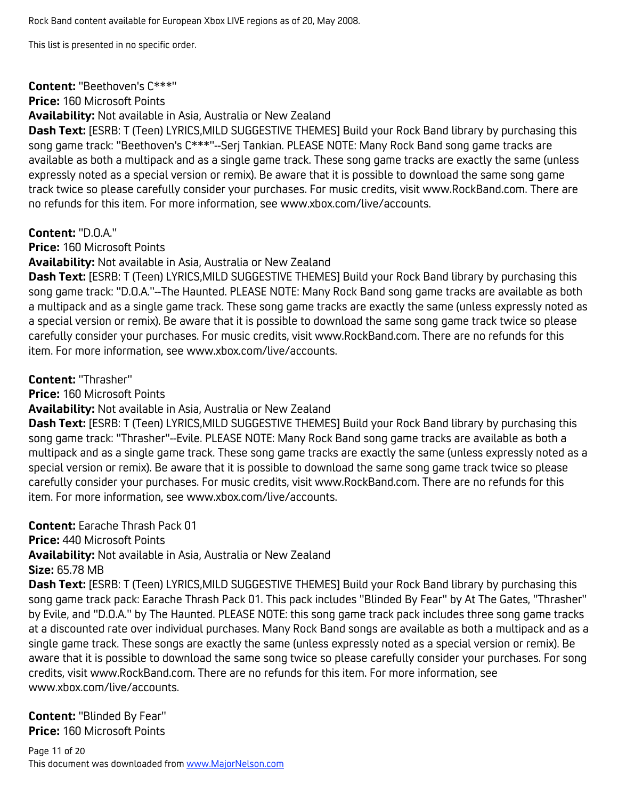#### **Content:** "Beethoven's C\*\*\*"

**Price:** 160 Microsoft Points

**Availability:** Not available in Asia, Australia or New Zealand

**Dash Text:** [ESRB: T (Teen) LYRICS,MILD SUGGESTIVE THEMES] Build your Rock Band library by purchasing this song game track: "Beethoven's C\*\*\*"--Serj Tankian. PLEASE NOTE: Many Rock Band song game tracks are available as both a multipack and as a single game track. These song game tracks are exactly the same (unless expressly noted as a special version or remix). Be aware that it is possible to download the same song game track twice so please carefully consider your purchases. For music credits, visit www.RockBand.com. There are no refunds for this item. For more information, see www.xbox.com/live/accounts.

#### **Content:** "D.O.A."

**Price:** 160 Microsoft Points

**Availability:** Not available in Asia, Australia or New Zealand

**Dash Text:** [ESRB: T (Teen) LYRICS,MILD SUGGESTIVE THEMES] Build your Rock Band library by purchasing this song game track: "D.O.A."--The Haunted. PLEASE NOTE: Many Rock Band song game tracks are available as both a multipack and as a single game track. These song game tracks are exactly the same (unless expressly noted as a special version or remix). Be aware that it is possible to download the same song game track twice so please carefully consider your purchases. For music credits, visit www.RockBand.com. There are no refunds for this item. For more information, see www.xbox.com/live/accounts.

**Content:** "Thrasher"

**Price:** 160 Microsoft Points

**Availability:** Not available in Asia, Australia or New Zealand

**Dash Text:** [ESRB: T (Teen) LYRICS,MILD SUGGESTIVE THEMES] Build your Rock Band library by purchasing this song game track: "Thrasher"--Evile. PLEASE NOTE: Many Rock Band song game tracks are available as both a multipack and as a single game track. These song game tracks are exactly the same (unless expressly noted as a special version or remix). Be aware that it is possible to download the same song game track twice so please carefully consider your purchases. For music credits, visit www.RockBand.com. There are no refunds for this item. For more information, see www.xbox.com/live/accounts.

**Content:** Earache Thrash Pack 01

**Price:** 440 Microsoft Points

**Availability:** Not available in Asia, Australia or New Zealand

**Size:** 65.78 MB

**Dash Text:** [ESRB: T (Teen) LYRICS,MILD SUGGESTIVE THEMES] Build your Rock Band library by purchasing this song game track pack: Earache Thrash Pack 01. This pack includes "Blinded By Fear" by At The Gates, "Thrasher" by Evile, and "D.O.A." by The Haunted. PLEASE NOTE: this song game track pack includes three song game tracks at a discounted rate over individual purchases. Many Rock Band songs are available as both a multipack and as a single game track. These songs are exactly the same (unless expressly noted as a special version or remix). Be aware that it is possible to download the same song twice so please carefully consider your purchases. For song credits, visit www.RockBand.com. There are no refunds for this item. For more information, see www.xbox.com/live/accounts.

**Content:** "Blinded By Fear" **Price:** 160 Microsoft Points

Page 11 of 20 This document was downloaded from www.MajorNelson.com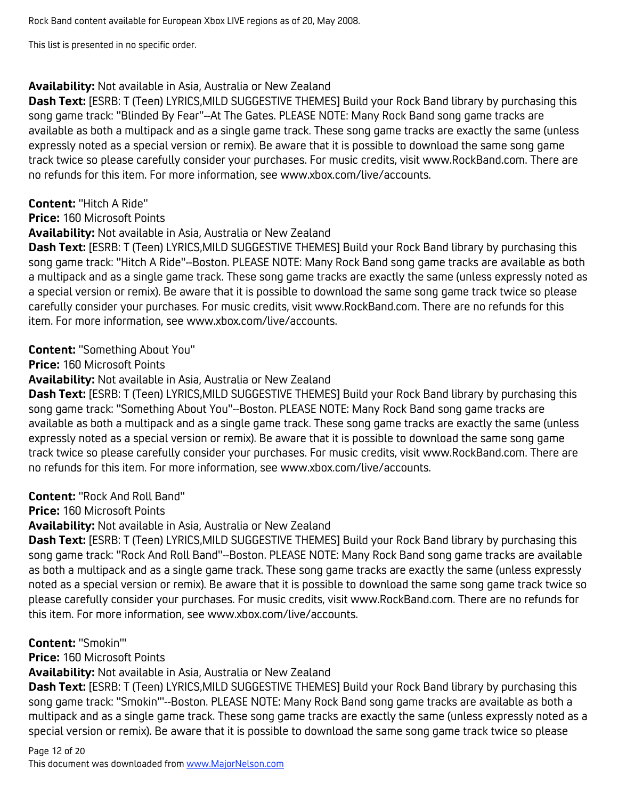#### **Availability:** Not available in Asia, Australia or New Zealand

**Dash Text:** [ESRB: T (Teen) LYRICS,MILD SUGGESTIVE THEMES] Build your Rock Band library by purchasing this song game track: "Blinded By Fear"--At The Gates. PLEASE NOTE: Many Rock Band song game tracks are available as both a multipack and as a single game track. These song game tracks are exactly the same (unless expressly noted as a special version or remix). Be aware that it is possible to download the same song game track twice so please carefully consider your purchases. For music credits, visit www.RockBand.com. There are no refunds for this item. For more information, see www.xbox.com/live/accounts.

#### **Content:** "Hitch A Ride"

**Price:** 160 Microsoft Points

#### **Availability:** Not available in Asia, Australia or New Zealand

**Dash Text:** [ESRB: T (Teen) LYRICS,MILD SUGGESTIVE THEMES] Build your Rock Band library by purchasing this song game track: "Hitch A Ride"--Boston. PLEASE NOTE: Many Rock Band song game tracks are available as both a multipack and as a single game track. These song game tracks are exactly the same (unless expressly noted as a special version or remix). Be aware that it is possible to download the same song game track twice so please carefully consider your purchases. For music credits, visit www.RockBand.com. There are no refunds for this item. For more information, see www.xbox.com/live/accounts.

#### **Content:** "Something About You"

**Price:** 160 Microsoft Points

**Availability:** Not available in Asia, Australia or New Zealand

**Dash Text:** [ESRB: T (Teen) LYRICS,MILD SUGGESTIVE THEMES] Build your Rock Band library by purchasing this song game track: "Something About You"--Boston. PLEASE NOTE: Many Rock Band song game tracks are available as both a multipack and as a single game track. These song game tracks are exactly the same (unless expressly noted as a special version or remix). Be aware that it is possible to download the same song game track twice so please carefully consider your purchases. For music credits, visit www.RockBand.com. There are no refunds for this item. For more information, see www.xbox.com/live/accounts.

**Content:** "Rock And Roll Band"

**Price:** 160 Microsoft Points

**Availability:** Not available in Asia, Australia or New Zealand

**Dash Text:** [ESRB: T (Teen) LYRICS,MILD SUGGESTIVE THEMES] Build your Rock Band library by purchasing this song game track: "Rock And Roll Band"--Boston. PLEASE NOTE: Many Rock Band song game tracks are available as both a multipack and as a single game track. These song game tracks are exactly the same (unless expressly noted as a special version or remix). Be aware that it is possible to download the same song game track twice so please carefully consider your purchases. For music credits, visit www.RockBand.com. There are no refunds for this item. For more information, see www.xbox.com/live/accounts.

#### **Content:** "Smokin'"

**Price:** 160 Microsoft Points

**Availability:** Not available in Asia, Australia or New Zealand

**Dash Text:** [ESRB: T (Teen) LYRICS,MILD SUGGESTIVE THEMES] Build your Rock Band library by purchasing this song game track: "Smokin'"--Boston. PLEASE NOTE: Many Rock Band song game tracks are available as both a multipack and as a single game track. These song game tracks are exactly the same (unless expressly noted as a special version or remix). Be aware that it is possible to download the same song game track twice so please

## Page 12 of 20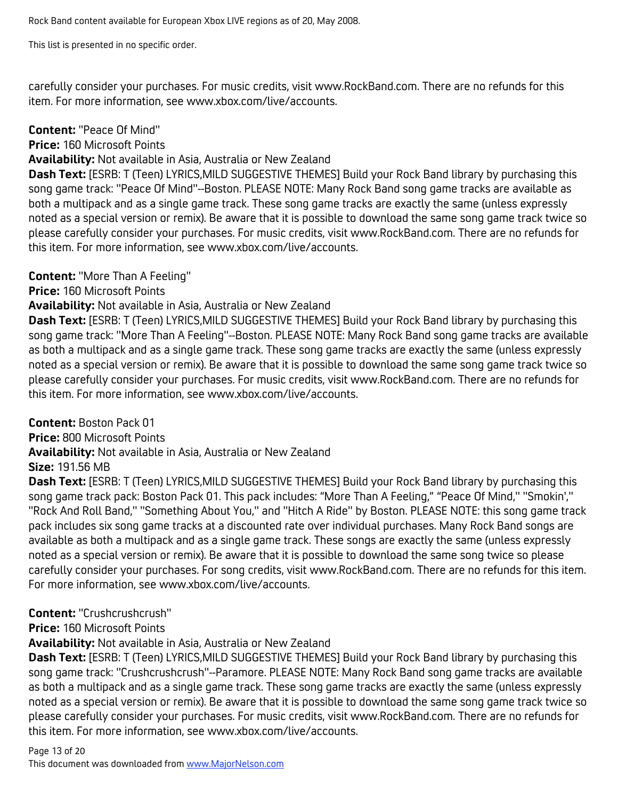carefully consider your purchases. For music credits, visit www.RockBand.com. There are no refunds for this item. For more information, see www.xbox.com/live/accounts.

#### **Content:** "Peace Of Mind"

**Price:** 160 Microsoft Points

**Availability:** Not available in Asia, Australia or New Zealand

**Dash Text:** [ESRB: T (Teen) LYRICS,MILD SUGGESTIVE THEMES] Build your Rock Band library by purchasing this song game track: "Peace Of Mind"--Boston. PLEASE NOTE: Many Rock Band song game tracks are available as both a multipack and as a single game track. These song game tracks are exactly the same (unless expressly noted as a special version or remix). Be aware that it is possible to download the same song game track twice so please carefully consider your purchases. For music credits, visit www.RockBand.com. There are no refunds for this item. For more information, see www.xbox.com/live/accounts.

## **Content:** "More Than A Feeling"

**Price:** 160 Microsoft Points

#### **Availability:** Not available in Asia, Australia or New Zealand

**Dash Text:** [ESRB: T (Teen) LYRICS,MILD SUGGESTIVE THEMES] Build your Rock Band library by purchasing this song game track: "More Than A Feeling"--Boston. PLEASE NOTE: Many Rock Band song game tracks are available as both a multipack and as a single game track. These song game tracks are exactly the same (unless expressly noted as a special version or remix). Be aware that it is possible to download the same song game track twice so please carefully consider your purchases. For music credits, visit www.RockBand.com. There are no refunds for this item. For more information, see www.xbox.com/live/accounts.

**Content:** Boston Pack 01

**Price:** 800 Microsoft Points

**Availability:** Not available in Asia, Australia or New Zealand

#### **Size:** 191.56 MB

**Dash Text:** [ESRB: T (Teen) LYRICS,MILD SUGGESTIVE THEMES] Build your Rock Band library by purchasing this song game track pack: Boston Pack 01. This pack includes: "More Than A Feeling," "Peace Of Mind," "Smokin'," "Rock And Roll Band," "Something About You," and "Hitch A Ride" by Boston. PLEASE NOTE: this song game track pack includes six song game tracks at a discounted rate over individual purchases. Many Rock Band songs are available as both a multipack and as a single game track. These songs are exactly the same (unless expressly noted as a special version or remix). Be aware that it is possible to download the same song twice so please carefully consider your purchases. For song credits, visit www.RockBand.com. There are no refunds for this item. For more information, see www.xbox.com/live/accounts.

## **Content:** "Crushcrushcrush"

**Price:** 160 Microsoft Points

**Availability:** Not available in Asia, Australia or New Zealand

**Dash Text:** [ESRB: T (Teen) LYRICS,MILD SUGGESTIVE THEMES] Build your Rock Band library by purchasing this song game track: "Crushcrushcrush"--Paramore. PLEASE NOTE: Many Rock Band song game tracks are available as both a multipack and as a single game track. These song game tracks are exactly the same (unless expressly noted as a special version or remix). Be aware that it is possible to download the same song game track twice so please carefully consider your purchases. For music credits, visit www.RockBand.com. There are no refunds for this item. For more information, see www.xbox.com/live/accounts.

# Page 13 of 20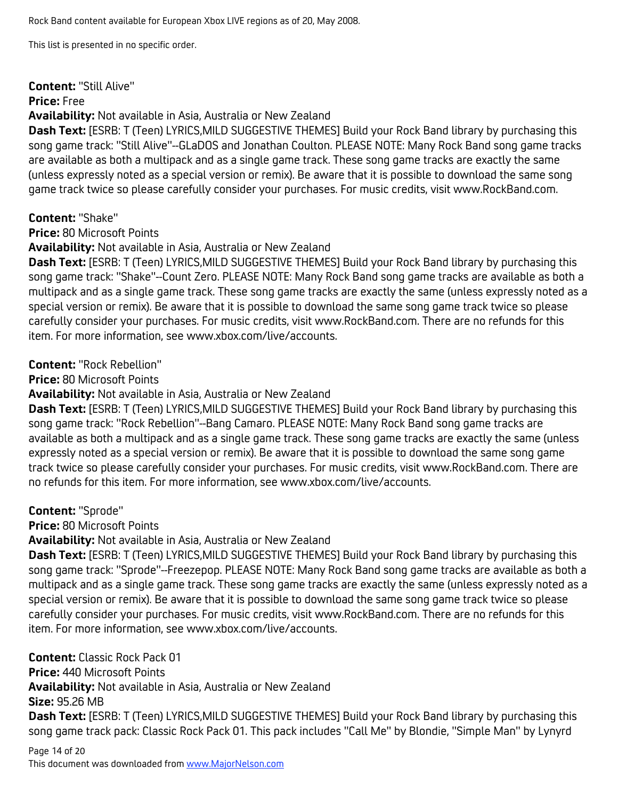#### **Content:** "Still Alive"

#### **Price:** Free

**Availability:** Not available in Asia, Australia or New Zealand

**Dash Text:** [ESRB: T (Teen) LYRICS,MILD SUGGESTIVE THEMES] Build your Rock Band library by purchasing this song game track: "Still Alive"--GLaDOS and Jonathan Coulton. PLEASE NOTE: Many Rock Band song game tracks are available as both a multipack and as a single game track. These song game tracks are exactly the same (unless expressly noted as a special version or remix). Be aware that it is possible to download the same song game track twice so please carefully consider your purchases. For music credits, visit www.RockBand.com.

## **Content:** "Shake"

**Price:** 80 Microsoft Points

**Availability:** Not available in Asia, Australia or New Zealand

**Dash Text:** [ESRB: T (Teen) LYRICS,MILD SUGGESTIVE THEMES] Build your Rock Band library by purchasing this song game track: "Shake"--Count Zero. PLEASE NOTE: Many Rock Band song game tracks are available as both a multipack and as a single game track. These song game tracks are exactly the same (unless expressly noted as a special version or remix). Be aware that it is possible to download the same song game track twice so please carefully consider your purchases. For music credits, visit www.RockBand.com. There are no refunds for this item. For more information, see www.xbox.com/live/accounts.

**Content:** "Rock Rebellion"

**Price:** 80 Microsoft Points

**Availability:** Not available in Asia, Australia or New Zealand

**Dash Text:** [ESRB: T (Teen) LYRICS,MILD SUGGESTIVE THEMES] Build your Rock Band library by purchasing this song game track: "Rock Rebellion"--Bang Camaro. PLEASE NOTE: Many Rock Band song game tracks are available as both a multipack and as a single game track. These song game tracks are exactly the same (unless expressly noted as a special version or remix). Be aware that it is possible to download the same song game track twice so please carefully consider your purchases. For music credits, visit www.RockBand.com. There are no refunds for this item. For more information, see www.xbox.com/live/accounts.

**Content:** "Sprode"

**Price:** 80 Microsoft Points

**Availability:** Not available in Asia, Australia or New Zealand

**Dash Text:** [ESRB: T (Teen) LYRICS,MILD SUGGESTIVE THEMES] Build your Rock Band library by purchasing this song game track: "Sprode"--Freezepop. PLEASE NOTE: Many Rock Band song game tracks are available as both a multipack and as a single game track. These song game tracks are exactly the same (unless expressly noted as a special version or remix). Be aware that it is possible to download the same song game track twice so please carefully consider your purchases. For music credits, visit www.RockBand.com. There are no refunds for this item. For more information, see www.xbox.com/live/accounts.

**Content:** Classic Rock Pack 01 **Price:** 440 Microsoft Points **Availability:** Not available in Asia, Australia or New Zealand **Size:** 95.26 MB **Dash Text:** [ESRB: T (Teen) LYRICS,MILD SUGGESTIVE THEMES] Build your Rock Band library by purchasing this song game track pack: Classic Rock Pack 01. This pack includes "Call Me" by Blondie, "Simple Man" by Lynyrd

Page 14 of 20 This document was downloaded from www.MajorNelson.com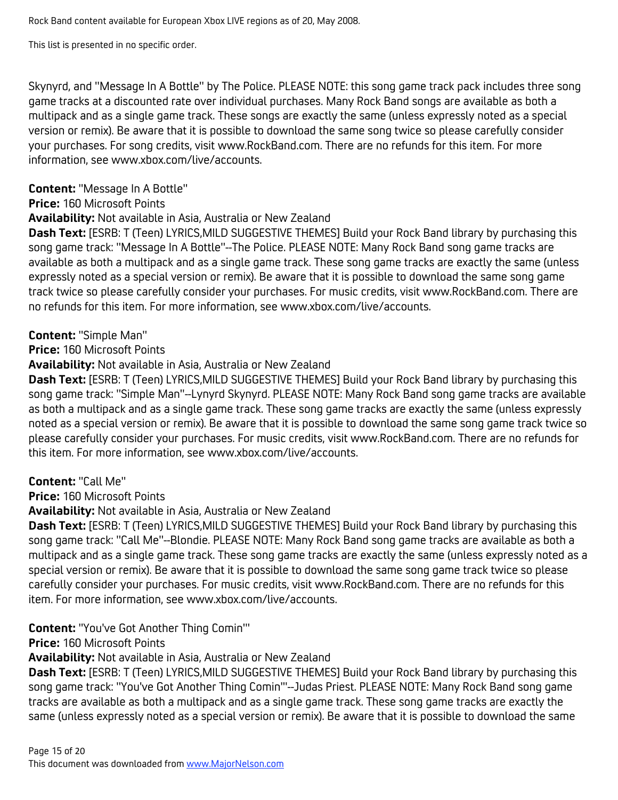This list is presented in no specific order.

Skynyrd, and "Message In A Bottle" by The Police. PLEASE NOTE: this song game track pack includes three song game tracks at a discounted rate over individual purchases. Many Rock Band songs are available as both a multipack and as a single game track. These songs are exactly the same (unless expressly noted as a special version or remix). Be aware that it is possible to download the same song twice so please carefully consider your purchases. For song credits, visit www.RockBand.com. There are no refunds for this item. For more information, see www.xbox.com/live/accounts.

# **Content:** "Message In A Bottle"

**Price:** 160 Microsoft Points

# **Availability:** Not available in Asia, Australia or New Zealand

**Dash Text:** [ESRB: T (Teen) LYRICS,MILD SUGGESTIVE THEMES] Build your Rock Band library by purchasing this song game track: "Message In A Bottle"--The Police. PLEASE NOTE: Many Rock Band song game tracks are available as both a multipack and as a single game track. These song game tracks are exactly the same (unless expressly noted as a special version or remix). Be aware that it is possible to download the same song game track twice so please carefully consider your purchases. For music credits, visit www.RockBand.com. There are no refunds for this item. For more information, see www.xbox.com/live/accounts.

# **Content:** "Simple Man"

**Price:** 160 Microsoft Points

# **Availability:** Not available in Asia, Australia or New Zealand

**Dash Text:** [ESRB: T (Teen) LYRICS,MILD SUGGESTIVE THEMES] Build your Rock Band library by purchasing this song game track: "Simple Man"--Lynyrd Skynyrd. PLEASE NOTE: Many Rock Band song game tracks are available as both a multipack and as a single game track. These song game tracks are exactly the same (unless expressly noted as a special version or remix). Be aware that it is possible to download the same song game track twice so please carefully consider your purchases. For music credits, visit www.RockBand.com. There are no refunds for this item. For more information, see www.xbox.com/live/accounts.

## **Content:** "Call Me"

**Price:** 160 Microsoft Points

**Availability:** Not available in Asia, Australia or New Zealand

**Dash Text:** [ESRB: T (Teen) LYRICS,MILD SUGGESTIVE THEMES] Build your Rock Band library by purchasing this song game track: "Call Me"--Blondie. PLEASE NOTE: Many Rock Band song game tracks are available as both a multipack and as a single game track. These song game tracks are exactly the same (unless expressly noted as a special version or remix). Be aware that it is possible to download the same song game track twice so please carefully consider your purchases. For music credits, visit www.RockBand.com. There are no refunds for this item. For more information, see www.xbox.com/live/accounts.

**Content:** "You've Got Another Thing Comin'"

**Price:** 160 Microsoft Points

**Availability:** Not available in Asia, Australia or New Zealand

**Dash Text:** [ESRB: T (Teen) LYRICS,MILD SUGGESTIVE THEMES] Build your Rock Band library by purchasing this song game track: "You've Got Another Thing Comin'"--Judas Priest. PLEASE NOTE: Many Rock Band song game tracks are available as both a multipack and as a single game track. These song game tracks are exactly the same (unless expressly noted as a special version or remix). Be aware that it is possible to download the same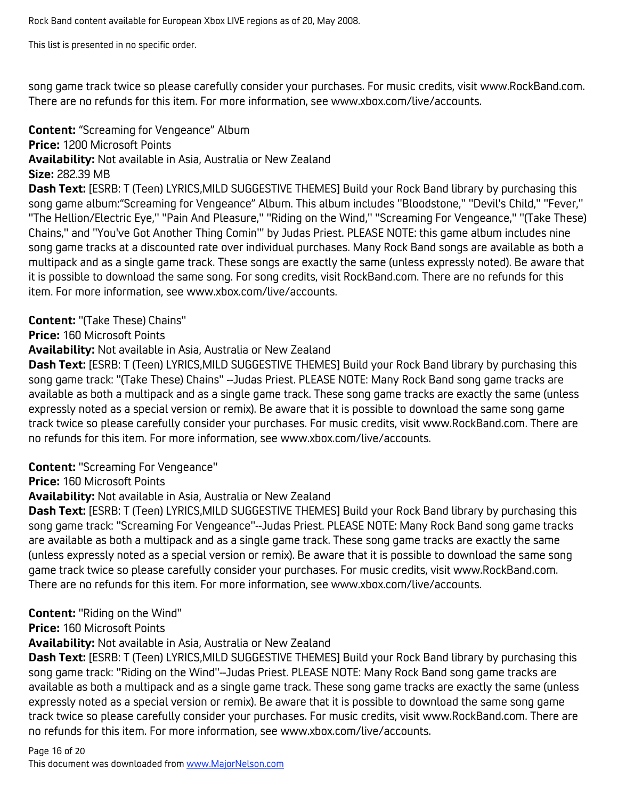This list is presented in no specific order.

song game track twice so please carefully consider your purchases. For music credits, visit www.RockBand.com. There are no refunds for this item. For more information, see www.xbox.com/live/accounts.

**Content:** "Screaming for Vengeance" Album **Price:** 1200 Microsoft Points **Availability:** Not available in Asia, Australia or New Zealand **Size:** 282.39 MB **Dash Text:** [ESRB: T (Teen) LYRICS,MILD SUGGESTIVE THEMES] Build your Rock Band library by purchasing this

song game album:"Screaming for Vengeance" Album. This album includes "Bloodstone," "Devil's Child," "Fever," "The Hellion/Electric Eye," "Pain And Pleasure," "Riding on the Wind," "Screaming For Vengeance," "(Take These) Chains," and "You've Got Another Thing Comin'" by Judas Priest. PLEASE NOTE: this game album includes nine song game tracks at a discounted rate over individual purchases. Many Rock Band songs are available as both a multipack and as a single game track. These songs are exactly the same (unless expressly noted). Be aware that it is possible to download the same song. For song credits, visit RockBand.com. There are no refunds for this item. For more information, see www.xbox.com/live/accounts.

## **Content:** "(Take These) Chains"

**Price:** 160 Microsoft Points

**Availability:** Not available in Asia, Australia or New Zealand

**Dash Text:** [ESRB: T (Teen) LYRICS,MILD SUGGESTIVE THEMES] Build your Rock Band library by purchasing this song game track: "(Take These) Chains" --Judas Priest. PLEASE NOTE: Many Rock Band song game tracks are available as both a multipack and as a single game track. These song game tracks are exactly the same (unless expressly noted as a special version or remix). Be aware that it is possible to download the same song game track twice so please carefully consider your purchases. For music credits, visit www.RockBand.com. There are no refunds for this item. For more information, see www.xbox.com/live/accounts.

## **Content:** "Screaming For Vengeance"

**Price:** 160 Microsoft Points

## **Availability:** Not available in Asia, Australia or New Zealand

**Dash Text:** [ESRB: T (Teen) LYRICS,MILD SUGGESTIVE THEMES] Build your Rock Band library by purchasing this song game track: "Screaming For Vengeance"--Judas Priest. PLEASE NOTE: Many Rock Band song game tracks are available as both a multipack and as a single game track. These song game tracks are exactly the same (unless expressly noted as a special version or remix). Be aware that it is possible to download the same song game track twice so please carefully consider your purchases. For music credits, visit www.RockBand.com. There are no refunds for this item. For more information, see www.xbox.com/live/accounts.

## **Content:** "Riding on the Wind"

**Price:** 160 Microsoft Points

#### **Availability:** Not available in Asia, Australia or New Zealand

**Dash Text:** [ESRB: T (Teen) LYRICS,MILD SUGGESTIVE THEMES] Build your Rock Band library by purchasing this song game track: "Riding on the Wind"--Judas Priest. PLEASE NOTE: Many Rock Band song game tracks are available as both a multipack and as a single game track. These song game tracks are exactly the same (unless expressly noted as a special version or remix). Be aware that it is possible to download the same song game track twice so please carefully consider your purchases. For music credits, visit www.RockBand.com. There are no refunds for this item. For more information, see www.xbox.com/live/accounts.

# Page 16 of 20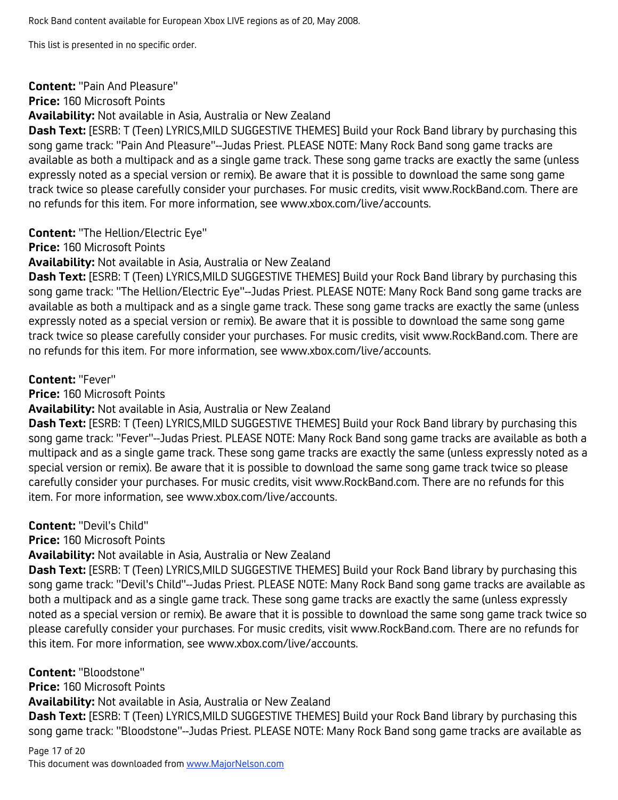#### **Content:** "Pain And Pleasure"

**Price:** 160 Microsoft Points

**Availability:** Not available in Asia, Australia or New Zealand

**Dash Text:** [ESRB: T (Teen) LYRICS,MILD SUGGESTIVE THEMES] Build your Rock Band library by purchasing this song game track: "Pain And Pleasure"--Judas Priest. PLEASE NOTE: Many Rock Band song game tracks are available as both a multipack and as a single game track. These song game tracks are exactly the same (unless expressly noted as a special version or remix). Be aware that it is possible to download the same song game track twice so please carefully consider your purchases. For music credits, visit www.RockBand.com. There are no refunds for this item. For more information, see www.xbox.com/live/accounts.

## **Content:** "The Hellion/Electric Eye"

**Price:** 160 Microsoft Points

**Availability:** Not available in Asia, Australia or New Zealand

**Dash Text:** [ESRB: T (Teen) LYRICS,MILD SUGGESTIVE THEMES] Build your Rock Band library by purchasing this song game track: "The Hellion/Electric Eye"--Judas Priest. PLEASE NOTE: Many Rock Band song game tracks are available as both a multipack and as a single game track. These song game tracks are exactly the same (unless expressly noted as a special version or remix). Be aware that it is possible to download the same song game track twice so please carefully consider your purchases. For music credits, visit www.RockBand.com. There are no refunds for this item. For more information, see www.xbox.com/live/accounts.

# **Content:** "Fever"

**Price:** 160 Microsoft Points

**Availability:** Not available in Asia, Australia or New Zealand

**Dash Text:** [ESRB: T (Teen) LYRICS,MILD SUGGESTIVE THEMES] Build your Rock Band library by purchasing this song game track: "Fever"--Judas Priest. PLEASE NOTE: Many Rock Band song game tracks are available as both a multipack and as a single game track. These song game tracks are exactly the same (unless expressly noted as a special version or remix). Be aware that it is possible to download the same song game track twice so please carefully consider your purchases. For music credits, visit www.RockBand.com. There are no refunds for this item. For more information, see www.xbox.com/live/accounts.

**Content:** "Devil's Child"

**Price:** 160 Microsoft Points

**Availability:** Not available in Asia, Australia or New Zealand

**Dash Text:** [ESRB: T (Teen) LYRICS,MILD SUGGESTIVE THEMES] Build your Rock Band library by purchasing this song game track: "Devil's Child"--Judas Priest. PLEASE NOTE: Many Rock Band song game tracks are available as both a multipack and as a single game track. These song game tracks are exactly the same (unless expressly noted as a special version or remix). Be aware that it is possible to download the same song game track twice so please carefully consider your purchases. For music credits, visit www.RockBand.com. There are no refunds for this item. For more information, see www.xbox.com/live/accounts.

**Content:** "Bloodstone"

**Price:** 160 Microsoft Points

**Availability:** Not available in Asia, Australia or New Zealand

**Dash Text:** [ESRB: T (Teen) LYRICS,MILD SUGGESTIVE THEMES] Build your Rock Band library by purchasing this song game track: "Bloodstone"--Judas Priest. PLEASE NOTE: Many Rock Band song game tracks are available as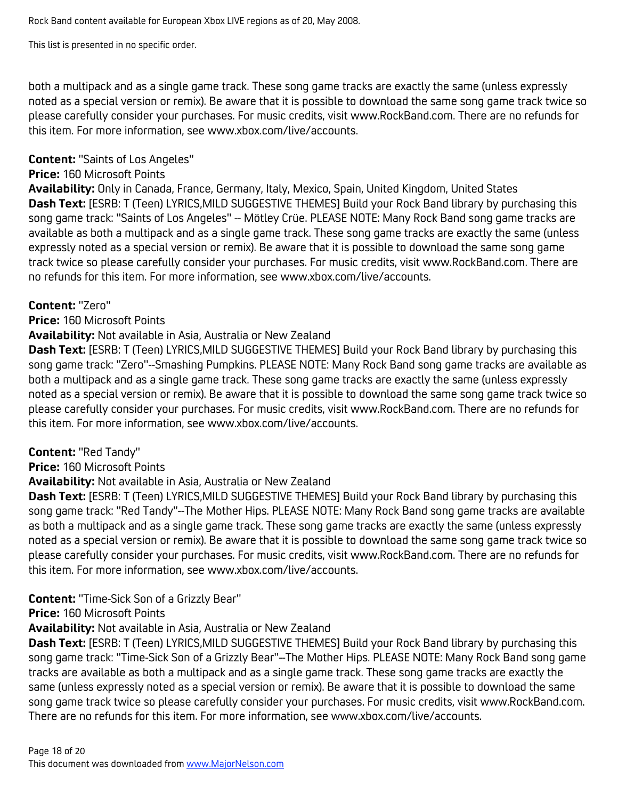both a multipack and as a single game track. These song game tracks are exactly the same (unless expressly noted as a special version or remix). Be aware that it is possible to download the same song game track twice so please carefully consider your purchases. For music credits, visit www.RockBand.com. There are no refunds for this item. For more information, see www.xbox.com/live/accounts.

#### **Content:** "Saints of Los Angeles"

#### **Price:** 160 Microsoft Points

**Availability:** Only in Canada, France, Germany, Italy, Mexico, Spain, United Kingdom, United States **Dash Text:** [ESRB: T (Teen) LYRICS,MILD SUGGESTIVE THEMES] Build your Rock Band library by purchasing this song game track: "Saints of Los Angeles" -- Mötley Crüe. PLEASE NOTE: Many Rock Band song game tracks are available as both a multipack and as a single game track. These song game tracks are exactly the same (unless expressly noted as a special version or remix). Be aware that it is possible to download the same song game track twice so please carefully consider your purchases. For music credits, visit www.RockBand.com. There are no refunds for this item. For more information, see www.xbox.com/live/accounts.

## **Content:** "Zero"

## **Price:** 160 Microsoft Points

#### **Availability:** Not available in Asia, Australia or New Zealand

**Dash Text:** [ESRB: T (Teen) LYRICS,MILD SUGGESTIVE THEMES] Build your Rock Band library by purchasing this song game track: "Zero"--Smashing Pumpkins. PLEASE NOTE: Many Rock Band song game tracks are available as both a multipack and as a single game track. These song game tracks are exactly the same (unless expressly noted as a special version or remix). Be aware that it is possible to download the same song game track twice so please carefully consider your purchases. For music credits, visit www.RockBand.com. There are no refunds for this item. For more information, see www.xbox.com/live/accounts.

## **Content:** "Red Tandy"

**Price:** 160 Microsoft Points

## **Availability:** Not available in Asia, Australia or New Zealand

**Dash Text:** [ESRB: T (Teen) LYRICS,MILD SUGGESTIVE THEMES] Build your Rock Band library by purchasing this song game track: "Red Tandy"--The Mother Hips. PLEASE NOTE: Many Rock Band song game tracks are available as both a multipack and as a single game track. These song game tracks are exactly the same (unless expressly noted as a special version or remix). Be aware that it is possible to download the same song game track twice so please carefully consider your purchases. For music credits, visit www.RockBand.com. There are no refunds for this item. For more information, see www.xbox.com/live/accounts.

## **Content:** "Time-Sick Son of a Grizzly Bear"

## **Price:** 160 Microsoft Points

## **Availability:** Not available in Asia, Australia or New Zealand

**Dash Text:** [ESRB: T (Teen) LYRICS,MILD SUGGESTIVE THEMES] Build your Rock Band library by purchasing this song game track: "Time-Sick Son of a Grizzly Bear"--The Mother Hips. PLEASE NOTE: Many Rock Band song game tracks are available as both a multipack and as a single game track. These song game tracks are exactly the same (unless expressly noted as a special version or remix). Be aware that it is possible to download the same song game track twice so please carefully consider your purchases. For music credits, visit www.RockBand.com. There are no refunds for this item. For more information, see www.xbox.com/live/accounts.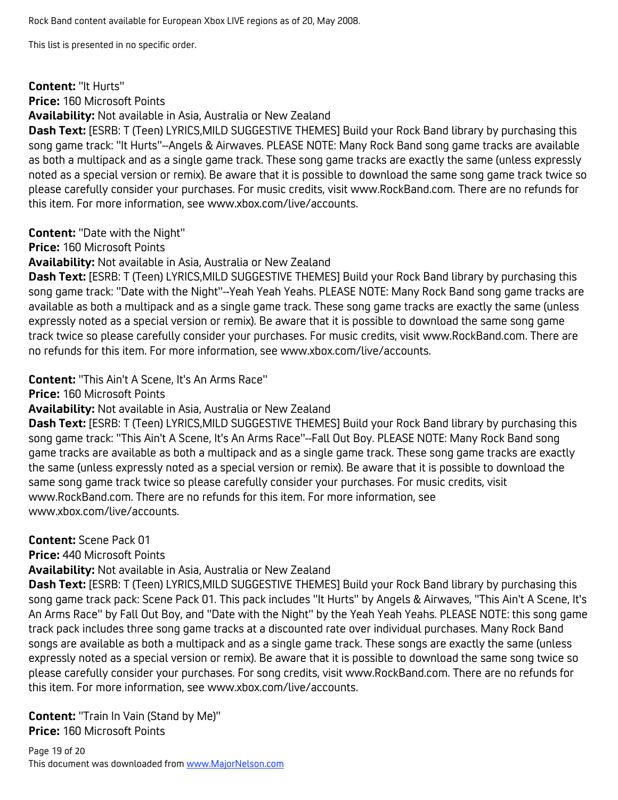#### **Content:** "It Hurts"

**Price:** 160 Microsoft Points

**Availability:** Not available in Asia, Australia or New Zealand

**Dash Text:** [ESRB: T (Teen) LYRICS,MILD SUGGESTIVE THEMES] Build your Rock Band library by purchasing this song game track: "It Hurts"--Angels & Airwaves. PLEASE NOTE: Many Rock Band song game tracks are available as both a multipack and as a single game track. These song game tracks are exactly the same (unless expressly noted as a special version or remix). Be aware that it is possible to download the same song game track twice so please carefully consider your purchases. For music credits, visit www.RockBand.com. There are no refunds for this item. For more information, see www.xbox.com/live/accounts.

**Content:** "Date with the Night"

**Price:** 160 Microsoft Points

**Availability:** Not available in Asia, Australia or New Zealand

**Dash Text:** [ESRB: T (Teen) LYRICS,MILD SUGGESTIVE THEMES] Build your Rock Band library by purchasing this song game track: "Date with the Night"--Yeah Yeah Yeahs. PLEASE NOTE: Many Rock Band song game tracks are available as both a multipack and as a single game track. These song game tracks are exactly the same (unless expressly noted as a special version or remix). Be aware that it is possible to download the same song game track twice so please carefully consider your purchases. For music credits, visit www.RockBand.com. There are no refunds for this item. For more information, see www.xbox.com/live/accounts.

**Content:** "This Ain't A Scene, It's An Arms Race"

**Price:** 160 Microsoft Points

**Availability:** Not available in Asia, Australia or New Zealand

**Dash Text:** [ESRB: T (Teen) LYRICS,MILD SUGGESTIVE THEMES] Build your Rock Band library by purchasing this song game track: "This Ain't A Scene, It's An Arms Race"--Fall Out Boy. PLEASE NOTE: Many Rock Band song game tracks are available as both a multipack and as a single game track. These song game tracks are exactly the same (unless expressly noted as a special version or remix). Be aware that it is possible to download the same song game track twice so please carefully consider your purchases. For music credits, visit www.RockBand.com. There are no refunds for this item. For more information, see www.xbox.com/live/accounts.

**Content:** Scene Pack 01

**Price:** 440 Microsoft Points

**Availability:** Not available in Asia, Australia or New Zealand

**Dash Text:** [ESRB: T (Teen) LYRICS,MILD SUGGESTIVE THEMES] Build your Rock Band library by purchasing this song game track pack: Scene Pack 01. This pack includes "It Hurts" by Angels & Airwaves, "This Ain't A Scene, It's An Arms Race" by Fall Out Boy, and "Date with the Night" by the Yeah Yeah Yeahs. PLEASE NOTE: this song game track pack includes three song game tracks at a discounted rate over individual purchases. Many Rock Band songs are available as both a multipack and as a single game track. These songs are exactly the same (unless expressly noted as a special version or remix). Be aware that it is possible to download the same song twice so please carefully consider your purchases. For song credits, visit www.RockBand.com. There are no refunds for this item. For more information, see www.xbox.com/live/accounts.

**Content:** "Train In Vain (Stand by Me)" **Price:** 160 Microsoft Points